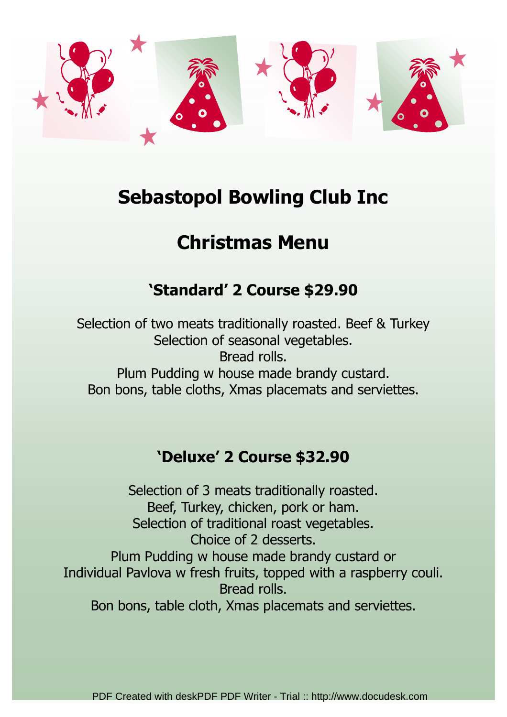

## Sebastopol Bowling Club Inc

# Christmas Menu

## 'Standard' 2 Course \$29.90

Selection of two meats traditionally roasted. Beef & Turkey Selection of seasonal vegetables. Bread rolls. Plum Pudding w house made brandy custard. Bon bons, table cloths, Xmas placemats and serviettes.

### 'Deluxe' 2 Course \$32.90

Selection of 3 meats traditionally roasted. Beef, Turkey, chicken, pork or ham. Selection of traditional roast vegetables. Choice of 2 desserts. Plum Pudding w house made brandy custard or Individual Pavlova w fresh fruits, topped with a raspberry couli. Bread rolls. Bon bons, table cloth, Xmas placemats and serviettes.